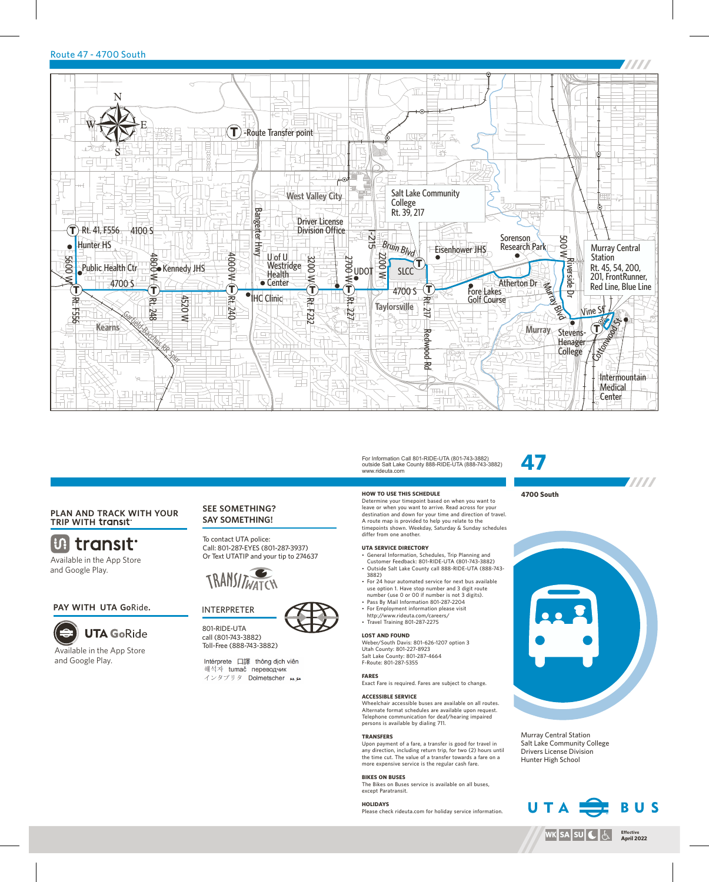## Route 47 - 4700 South



## **PLAN AND TRACK WITH YOUR TRIP WITH**

**Uthermonit** Available in the App Store and Google Play.

#### **PAY WITH UTA Go**Ride**.**



Available in the App Store and Google Play.

## **SEE SOMETHING? SAY SOMETHING!**

To contact UTA police: Call: 801-287-EYES (801-287-3937) Or Text UTATIP and your tip to 274637





801-RIDE-UTA call (801-743-3882) Toll-Free (888-743-3882)

Intérprete 口譯 thông dịch viên 해석자 tumač переводчик

インタプリタ Dolmetscher メル

#### For Information Call 801-RIDE-UTA (801-743-3882) outside Salt Lake County 888-RIDE-UTA (888-743-3882) www.rideuta.com

## **HOW TO USE THIS SCHEDULE**

Determine your timepoint based on when you want to leave or when you want to arrive. Read across for your destination and down for your time and direction of travel. A route map is provided to help you relate to the timepoints shown. Weekday, Saturday & Sunday schedules differ from one another.

#### **UTA SERVICE DIRECTORY**

- General Information, Schedules, Trip Planning and Customer Feedback: 801-RIDE-UTA (801-743-3882) • Outside Salt Lake County call 888-RIDE-UTA (888-743-3882)
- For 24 hour automated service for next bus available use option 1. Have stop number and 3 digit route
- number (use 0 or 00 if number is not 3 digits). • Pass By Mail Information 801-287-2204
- For Employment information please visit http://www.rideuta.com/careers/
- Travel Training 801-287-2275

## **LOST AND FOUND**

Weber/South Davis: 801-626-1207 option 3 Utah County: 801-227-8923 Salt Lake County: 801-287-4664 F-Route: 801-287-5355

#### **FARES**

Exact Fare is required. Fares are subject to change.

#### **ACCESSIBLE SERVICE**

Wheelchair accessible buses are available on all routes. Alternate format schedules are available upon request. Telephone communication for deaf/hearing impaired persons is available by dialing 711.

#### **TRANSFERS**

Upon payment of a fare, a transfer is good for travel in any direction, including return trip, for two (2) hours until the time cut. The value of a transfer towards a fare on a more expensive service is the regular cash fare.

#### **BIKES ON BUSES**

The Bikes on Buses service is available on all buses, except Paratransit.

### **HOLIDAYS**

Please check rideuta.com for holiday service information.

# **47**

## **4700 South**



**TITTI** 

Murray Central Station Salt Lake Community College Drivers License Division Hunter High School